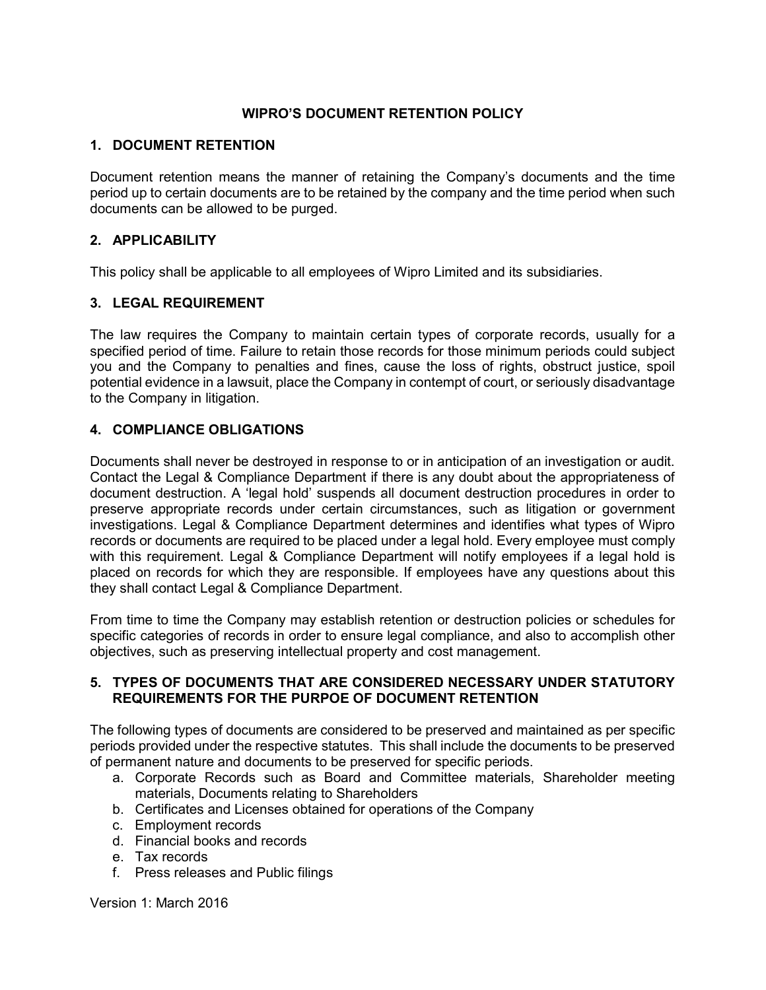## WIPRO'S DOCUMENT RETENTION POLICY

## 1. DOCUMENT RETENTION

Document retention means the manner of retaining the Company's documents and the time period up to certain documents are to be retained by the company and the time period when such documents can be allowed to be purged.

# 2. APPLICABILITY

This policy shall be applicable to all employees of Wipro Limited and its subsidiaries.

# 3. LEGAL REQUIREMENT

The law requires the Company to maintain certain types of corporate records, usually for a specified period of time. Failure to retain those records for those minimum periods could subject you and the Company to penalties and fines, cause the loss of rights, obstruct justice, spoil potential evidence in a lawsuit, place the Company in contempt of court, or seriously disadvantage to the Company in litigation.

# 4. COMPLIANCE OBLIGATIONS

Documents shall never be destroyed in response to or in anticipation of an investigation or audit. Contact the Legal & Compliance Department if there is any doubt about the appropriateness of document destruction. A 'legal hold' suspends all document destruction procedures in order to preserve appropriate records under certain circumstances, such as litigation or government investigations. Legal & Compliance Department determines and identifies what types of Wipro records or documents are required to be placed under a legal hold. Every employee must comply with this requirement. Legal & Compliance Department will notify employees if a legal hold is placed on records for which they are responsible. If employees have any questions about this they shall contact Legal & Compliance Department.

From time to time the Company may establish retention or destruction policies or schedules for specific categories of records in order to ensure legal compliance, and also to accomplish other objectives, such as preserving intellectual property and cost management.

### 5. TYPES OF DOCUMENTS THAT ARE CONSIDERED NECESSARY UNDER STATUTORY REQUIREMENTS FOR THE PURPOE OF DOCUMENT RETENTION

The following types of documents are considered to be preserved and maintained as per specific periods provided under the respective statutes. This shall include the documents to be preserved of permanent nature and documents to be preserved for specific periods.

- a. Corporate Records such as Board and Committee materials, Shareholder meeting materials, Documents relating to Shareholders
- b. Certificates and Licenses obtained for operations of the Company
- c. Employment records
- d. Financial books and records
- e. Tax records
- f. Press releases and Public filings

Version 1: March 2016